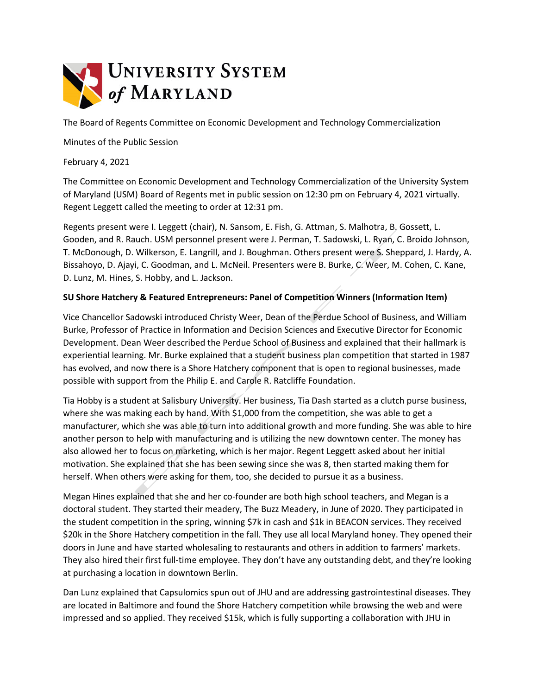

The Board of Regents Committee on Economic Development and Technology Commercialization

Minutes of the Public Session

February 4, 2021

The Committee on Economic Development and Technology Commercialization of the University System of Maryland (USM) Board of Regents met in public session on 12:30 pm on February 4, 2021 virtually. Regent Leggett called the meeting to order at 12:31 pm.

Regents present were I. Leggett (chair), N. Sansom, E. Fish, G. Attman, S. Malhotra, B. Gossett, L. Gooden, and R. Rauch. USM personnel present were J. Perman, T. Sadowski, L. Ryan, C. Broido Johnson, T. McDonough, D. Wilkerson, E. Langrill, and J. Boughman. Others present were S. Sheppard, J. Hardy, A. Bissahoyo, D. Ajayi, C. Goodman, and L. McNeil. Presenters were B. Burke, C. Weer, M. Cohen, C. Kane, D. Lunz, M. Hines, S. Hobby, and L. Jackson.

## **SU Shore Hatchery & Featured Entrepreneurs: Panel of Competition Winners (Information Item)**

Vice Chancellor Sadowski introduced Christy Weer, Dean of the Perdue School of Business, and William Burke, Professor of Practice in Information and Decision Sciences and Executive Director for Economic Development. Dean Weer described the Perdue School of Business and explained that their hallmark is experiential learning. Mr. Burke explained that a student business plan competition that started in 1987 has evolved, and now there is a Shore Hatchery component that is open to regional businesses, made possible with support from the Philip E. and Carole R. Ratcliffe Foundation.

Tia Hobby is a student at Salisbury University. Her business, Tia Dash started as a clutch purse business, where she was making each by hand. With \$1,000 from the competition, she was able to get a manufacturer, which she was able to turn into additional growth and more funding. She was able to hire another person to help with manufacturing and is utilizing the new downtown center. The money has also allowed her to focus on marketing, which is her major. Regent Leggett asked about her initial motivation. She explained that she has been sewing since she was 8, then started making them for herself. When others were asking for them, too, she decided to pursue it as a business.

Megan Hines explained that she and her co-founder are both high school teachers, and Megan is a doctoral student. They started their meadery, The Buzz Meadery, in June of 2020. They participated in the student competition in the spring, winning \$7k in cash and \$1k in BEACON services. They received \$20k in the Shore Hatchery competition in the fall. They use all local Maryland honey. They opened their doors in June and have started wholesaling to restaurants and others in addition to farmers' markets. They also hired their first full-time employee. They don't have any outstanding debt, and they're looking at purchasing a location in downtown Berlin.

Dan Lunz explained that Capsulomics spun out of JHU and are addressing gastrointestinal diseases. They are located in Baltimore and found the Shore Hatchery competition while browsing the web and were impressed and so applied. They received \$15k, which is fully supporting a collaboration with JHU in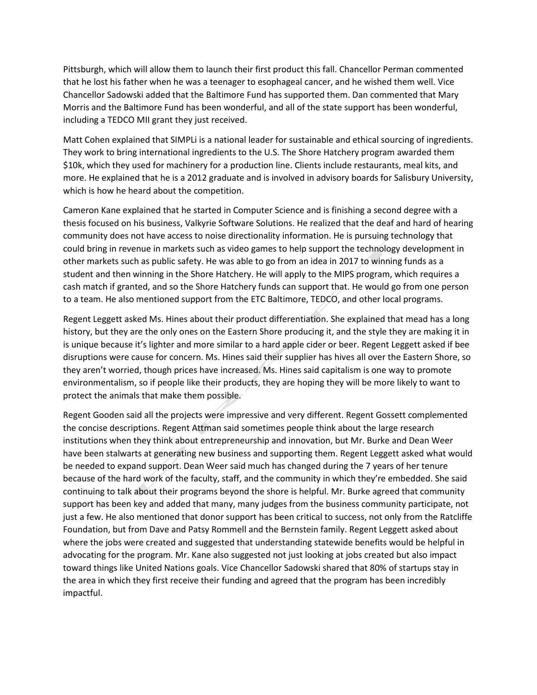Pittsburgh, which will allow them to launch their first product this fall. Chancellor Perman commented that he lost his father when he was a teenager to esophageal cancer, and he wished them well. Vice Chancellor Sadowski added that the Baltimore Fund has supported them. Dan commented that Mary Morris and the Baltimore Fund has been wonderful, and all of the state support has been wonderful, including a TEDCO MII grant they just received.

Matt Cohen explained that SIMPLi is a national leader for sustainable and ethical sourcing of ingredients. They work to bring international ingredients to the U.S. The Shore Hatchery program awarded them \$10k, which they used for machinery for a production line. Clients include restaurants, meal kits, and more. He explained that he is a 2012 graduate and is involved in advisory boards for Salisbury University, which is how he heard about the competition.

Cameron Kane explained that he started in Computer Science and is finishing a second degree with a thesis focused on his business, Valkyrie Software Solutions. He realized that the deaf and hard of hearing community does not have access to noise directionality information. He is pursuing technology that could bring in revenue in markets such as video games to help support the technology development in other markets such as public safety. He was able to go from an idea in 2017 to winning funds as a student and then winning in the Shore Hatchery. He will apply to the MIPS program, which requires a cash match if granted, and so the Shore Hatchery funds can support that. He would go from one person to a team. He also mentioned support from the ETC Baltimore, TEDCO, and other local programs.

Regent Leggett asked Ms. Hines about their product differentiation. She explained that mead has a long history, but they are the only ones on the Eastern Shore producing it, and the style they are making it in is unique because it's lighter and more similar to a hard apple cider or beer. Regent Leggett asked if bee disruptions were cause for concern. Ms. Hines said their supplier has hives all over the Eastern Shore, so they aren't worried, though prices have increased. Ms. Hines said capitalism is one way to promote environmentalism, so if people like their products, they are hoping they will be more likely to want to protect the animals that make them possible.

Regent Gooden said all the projects were impressive and very different. Regent Gossett complemented the concise descriptions. Regent Attman said sometimes people think about the large research institutions when they think about entrepreneurship and innovation, but Mr. Burke and Dean Weer have been stalwarts at generating new business and supporting them. Regent Leggett asked what would be needed to expand support. Dean Weer said much has changed during the 7 years of her tenure because of the hard work of the faculty, staff, and the community in which they're embedded. She said continuing to talk about their programs beyond the shore is helpful. Mr. Burke agreed that community support has been key and added that many, many judges from the business community participate, not just a few. He also mentioned that donor support has been critical to success, not only from the Ratcliffe Foundation, but from Dave and Patsy Rommell and the Bernstein family. Regent Leggett asked about where the jobs were created and suggested that understanding statewide benefits would be helpful in advocating for the program. Mr. Kane also suggested not just looking at jobs created but also impact toward things like United Nations goals. Vice Chancellor Sadowski shared that 80% of startups stay in the area in which they first receive their funding and agreed that the program has been incredibly impactful.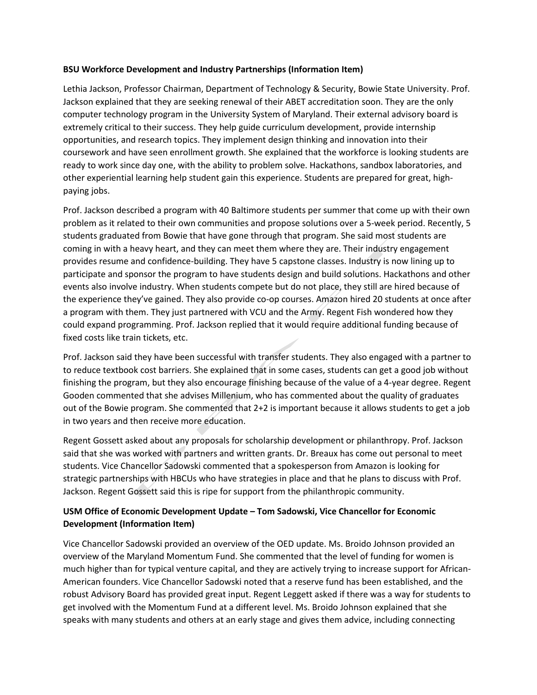## **BSU Workforce Development and Industry Partnerships (Information Item)**

Lethia Jackson, Professor Chairman, Department of Technology & Security, Bowie State University. Prof. Jackson explained that they are seeking renewal of their ABET accreditation soon. They are the only computer technology program in the University System of Maryland. Their external advisory board is extremely critical to their success. They help guide curriculum development, provide internship opportunities, and research topics. They implement design thinking and innovation into their coursework and have seen enrollment growth. She explained that the workforce is looking students are ready to work since day one, with the ability to problem solve. Hackathons, sandbox laboratories, and other experiential learning help student gain this experience. Students are prepared for great, highpaying jobs.

Prof. Jackson described a program with 40 Baltimore students per summer that come up with their own problem as it related to their own communities and propose solutions over a 5-week period. Recently, 5 students graduated from Bowie that have gone through that program. She said most students are coming in with a heavy heart, and they can meet them where they are. Their industry engagement provides resume and confidence-building. They have 5 capstone classes. Industry is now lining up to participate and sponsor the program to have students design and build solutions. Hackathons and other events also involve industry. When students compete but do not place, they still are hired because of the experience they've gained. They also provide co-op courses. Amazon hired 20 students at once after a program with them. They just partnered with VCU and the Army. Regent Fish wondered how they could expand programming. Prof. Jackson replied that it would require additional funding because of fixed costs like train tickets, etc.

Prof. Jackson said they have been successful with transfer students. They also engaged with a partner to to reduce textbook cost barriers. She explained that in some cases, students can get a good job without finishing the program, but they also encourage finishing because of the value of a 4-year degree. Regent Gooden commented that she advises Millenium, who has commented about the quality of graduates out of the Bowie program. She commented that 2+2 is important because it allows students to get a job in two years and then receive more education.

Regent Gossett asked about any proposals for scholarship development or philanthropy. Prof. Jackson said that she was worked with partners and written grants. Dr. Breaux has come out personal to meet students. Vice Chancellor Sadowski commented that a spokesperson from Amazon is looking for strategic partnerships with HBCUs who have strategies in place and that he plans to discuss with Prof. Jackson. Regent Gossett said this is ripe for support from the philanthropic community.

## **USM Office of Economic Development Update – Tom Sadowski, Vice Chancellor for Economic Development (Information Item)**

Vice Chancellor Sadowski provided an overview of the OED update. Ms. Broido Johnson provided an overview of the Maryland Momentum Fund. She commented that the level of funding for women is much higher than for typical venture capital, and they are actively trying to increase support for African-American founders. Vice Chancellor Sadowski noted that a reserve fund has been established, and the robust Advisory Board has provided great input. Regent Leggett asked if there was a way for students to get involved with the Momentum Fund at a different level. Ms. Broido Johnson explained that she speaks with many students and others at an early stage and gives them advice, including connecting